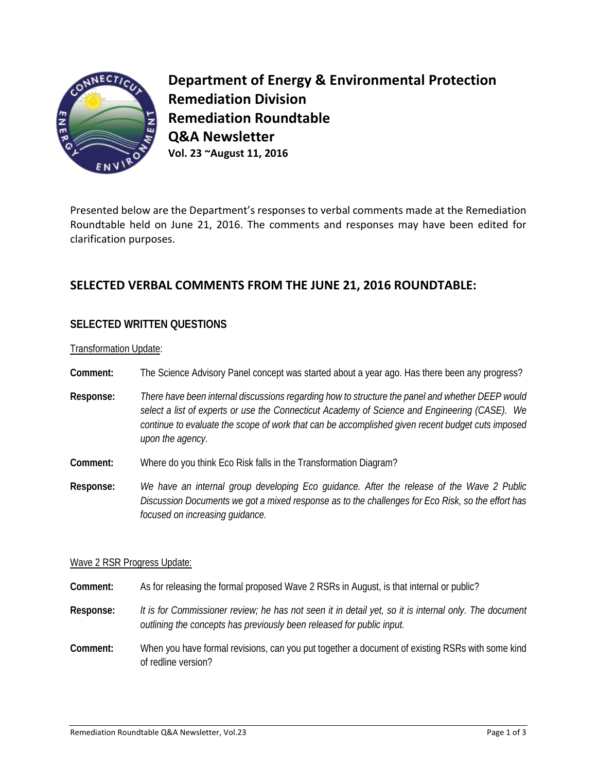

**Department of Energy & Environmental Protection Remediation Division Remediation Roundtable Q&A Newsletter Vol. 23 ~August 11, 2016**

Presented below are the Department's responses to verbal comments made at the Remediation Roundtable held on June 21, 2016. The comments and responses may have been edited for clarification purposes.

# **SELECTED VERBAL COMMENTS FROM THE JUNE 21, 2016 ROUNDTABLE:**

## **SELECTED WRITTEN QUESTIONS**

Transformation Update:

- **Comment:** The Science Advisory Panel concept was started about a year ago. Has there been any progress?
- **Response:** *There have been internal discussions regarding how to structure the panel and whether DEEP would select a list of experts or use the Connecticut Academy of Science and Engineering (CASE). We continue to evaluate the scope of work that can be accomplished given recent budget cuts imposed upon the agency.*
- **Comment:** Where do you think Eco Risk falls in the Transformation Diagram?
- **Response:** *We have an internal group developing Eco guidance. After the release of the Wave 2 Public Discussion Documents we got a mixed response as to the challenges for Eco Risk, so the effort has focused on increasing guidance.*

#### Wave 2 RSR Progress Update:

- **Comment:** As for releasing the formal proposed Wave 2 RSRs in August, is that internal or public?
- **Response:** *It is for Commissioner review; he has not seen it in detail yet, so it is internal only. The document outlining the concepts has previously been released for public input.*
- **Comment:** When you have formal revisions, can you put together a document of existing RSRs with some kind of redline version?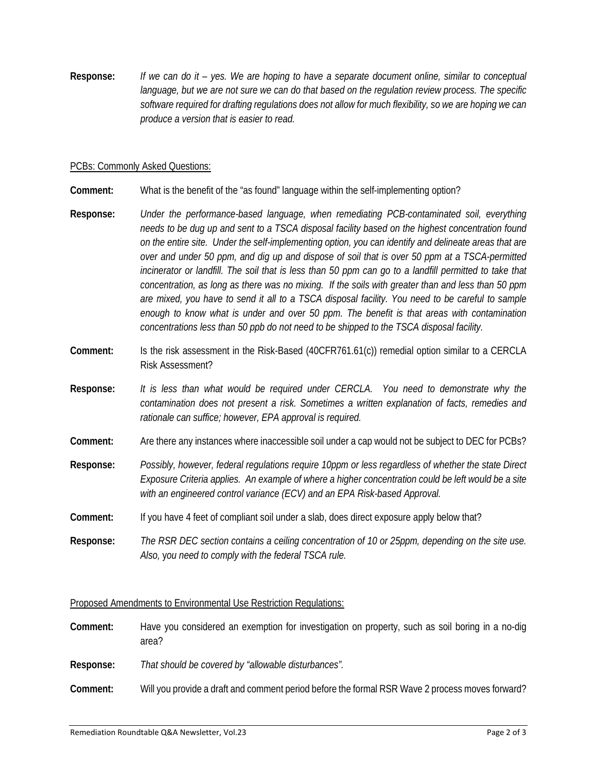**Response:** *If we can do it – yes. We are hoping to have a separate document online, similar to conceptual*  language, but we are not sure we can do that based on the regulation review process. The specific *software required for drafting regulations does not allow for much flexibility, so we are hoping we can produce a version that is easier to read.*

#### PCBs: Commonly Asked Questions:

**Comment:** What is the benefit of the "as found" language within the self-implementing option?

- **Response:** *Under the performance-based language, when remediating PCB-contaminated soil, everything needs to be dug up and sent to a TSCA disposal facility based on the highest concentration found on the entire site. Under the self-implementing option, you can identify and delineate areas that are over and under 50 ppm, and dig up and dispose of soil that is over 50 ppm at a TSCA-permitted incinerator or landfill. The soil that is less than 50 ppm can go to a landfill permitted to take that concentration, as long as there was no mixing. If the soils with greater than and less than 50 ppm are mixed, you have to send it all to a TSCA disposal facility. You need to be careful to sample enough to know what is under and over 50 ppm. The benefit is that areas with contamination concentrations less than 50 ppb do not need to be shipped to the TSCA disposal facility.*
- **Comment:** Is the risk assessment in the Risk-Based (40CFR761.61(c)) remedial option similar to a CERCLA Risk Assessment?
- **Response:** *It is less than what would be required under CERCLA. You need to demonstrate why the contamination does not present a risk. Sometimes a written explanation of facts, remedies and rationale can suffice; however, EPA approval is required.*
- **Comment:** Are there any instances where inaccessible soil under a cap would not be subject to DEC for PCBs?
- **Response:** *Possibly, however, federal regulations require 10ppm or less regardless of whether the state Direct Exposure Criteria applies. An example of where a higher concentration could be left would be a site with an engineered control variance (ECV) and an EPA Risk-based Approval.*
- **Comment:** If you have 4 feet of compliant soil under a slab, does direct exposure apply below that?
- **Response:** *The RSR DEC section contains a ceiling concentration of 10 or 25ppm, depending on the site use. Also,* y*ou need to comply with the federal TSCA rule.*

#### Proposed Amendments to Environmental Use Restriction Regulations:

**Comment:** Have you considered an exemption for investigation on property, such as soil boring in a no-dig area?

**Response:** *That should be covered by "allowable disturbances".* 

**Comment:** Will you provide a draft and comment period before the formal RSR Wave 2 process moves forward?